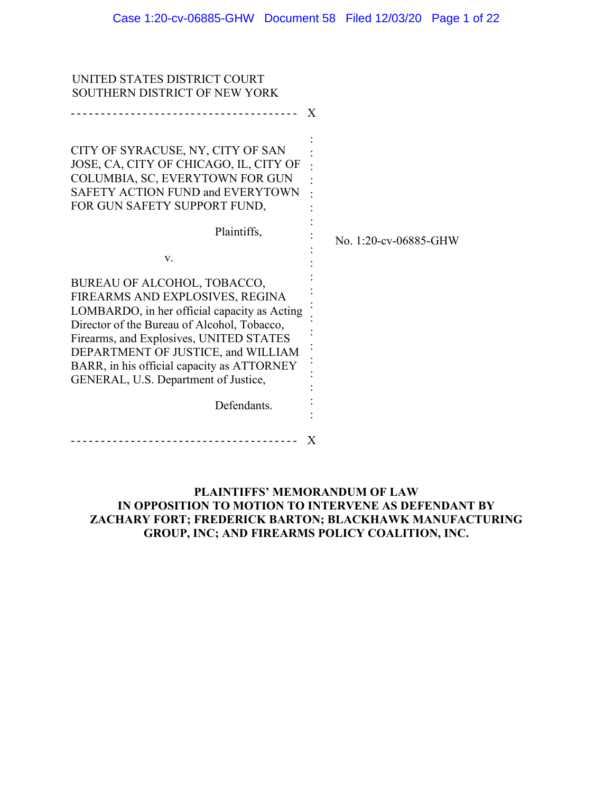| UNITED STATES DISTRICT COURT                 |              |                       |
|----------------------------------------------|--------------|-----------------------|
| SOUTHERN DISTRICT OF NEW YORK                |              |                       |
| <u> - - - - - - - - - - - -</u>              | $\mathbf{X}$ |                       |
|                                              |              |                       |
|                                              |              |                       |
| CITY OF SYRACUSE, NY, CITY OF SAN            |              |                       |
| JOSE, CA, CITY OF CHICAGO, IL, CITY OF       |              |                       |
| COLUMBIA, SC, EVERYTOWN FOR GUN              |              |                       |
| SAFETY ACTION FUND and EVERYTOWN             |              |                       |
| FOR GUN SAFETY SUPPORT FUND,                 |              |                       |
|                                              |              |                       |
| Plaintiffs,                                  |              | No. 1:20-cv-06885-GHW |
|                                              |              |                       |
| V.                                           |              |                       |
| BUREAU OF ALCOHOL, TOBACCO,                  |              |                       |
| FIREARMS AND EXPLOSIVES, REGINA              |              |                       |
| LOMBARDO, in her official capacity as Acting |              |                       |
| Director of the Bureau of Alcohol, Tobacco,  |              |                       |
| Firearms, and Explosives, UNITED STATES      |              |                       |
| DEPARTMENT OF JUSTICE, and WILLIAM           |              |                       |
| BARR, in his official capacity as ATTORNEY   |              |                       |
| GENERAL, U.S. Department of Justice,         |              |                       |
|                                              |              |                       |
| Defendants.                                  |              |                       |
|                                              |              |                       |
|                                              | X            |                       |
|                                              |              |                       |

### **PLAINTIFFS' MEMORANDUM OF LAW IN OPPOSITION TO MOTION TO INTERVENE AS DEFENDANT BY ZACHARY FORT; FREDERICK BARTON; BLACKHAWK MANUFACTURING GROUP, INC; AND FIREARMS POLICY COALITION, INC.**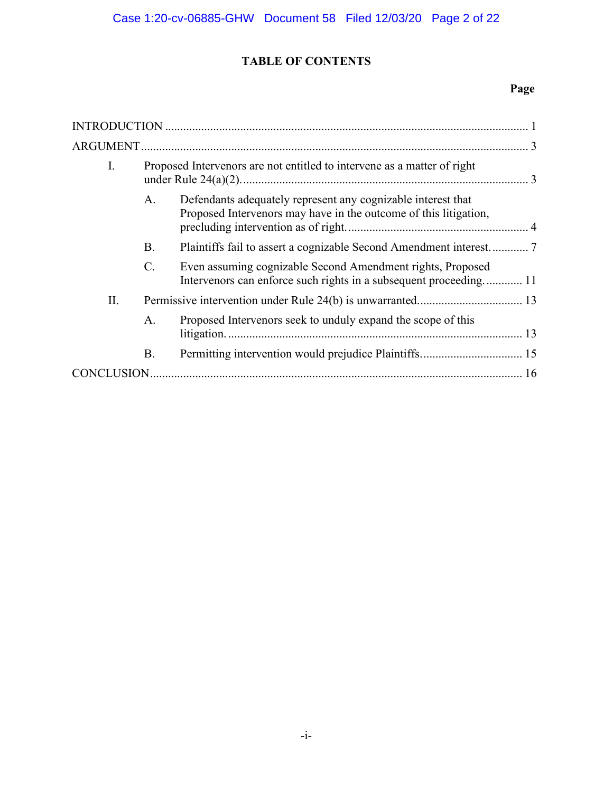# **TABLE OF CONTENTS**

# **Page**

| I.  |                 | Proposed Intervenors are not entitled to intervene as a matter of right                                                          |  |
|-----|-----------------|----------------------------------------------------------------------------------------------------------------------------------|--|
|     | A.              | Defendants adequately represent any cognizable interest that<br>Proposed Intervenors may have in the outcome of this litigation, |  |
|     | <b>B.</b>       |                                                                                                                                  |  |
|     | $\mathcal{C}$ . | Even assuming cognizable Second Amendment rights, Proposed<br>Intervenors can enforce such rights in a subsequent proceeding 11  |  |
| II. |                 |                                                                                                                                  |  |
|     | A.              | Proposed Intervenors seek to unduly expand the scope of this                                                                     |  |
|     | <b>B.</b>       |                                                                                                                                  |  |
|     |                 |                                                                                                                                  |  |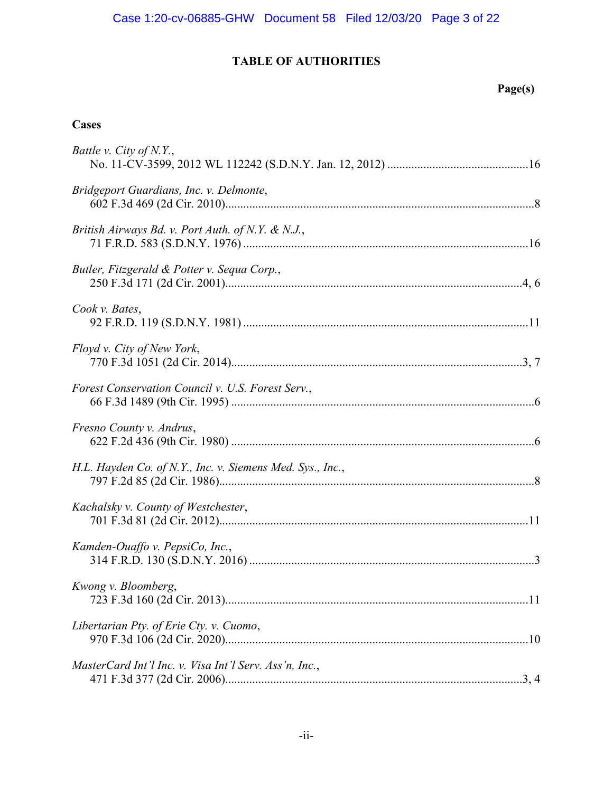# **TABLE OF AUTHORITIES**

# **Page(s)**

# **Cases**

| Battle v. City of N.Y.,                                   |
|-----------------------------------------------------------|
| Bridgeport Guardians, Inc. v. Delmonte,                   |
| British Airways Bd. v. Port Auth. of N.Y. & N.J.,         |
| Butler, Fitzgerald & Potter v. Sequa Corp.,               |
| Cook v. Bates,                                            |
| Floyd v. City of New York,                                |
| Forest Conservation Council v. U.S. Forest Serv.,         |
| Fresno County v. Andrus,                                  |
| H.L. Hayden Co. of N.Y., Inc. v. Siemens Med. Sys., Inc., |
| Kachalsky v. County of Westchester,                       |
| Kamden-Ouaffo v. PepsiCo, Inc.,                           |
| Kwong v. Bloomberg,                                       |
| Libertarian Pty. of Erie Cty. v. Cuomo,                   |
| MasterCard Int'l Inc. v. Visa Int'l Serv. Ass'n, Inc.,    |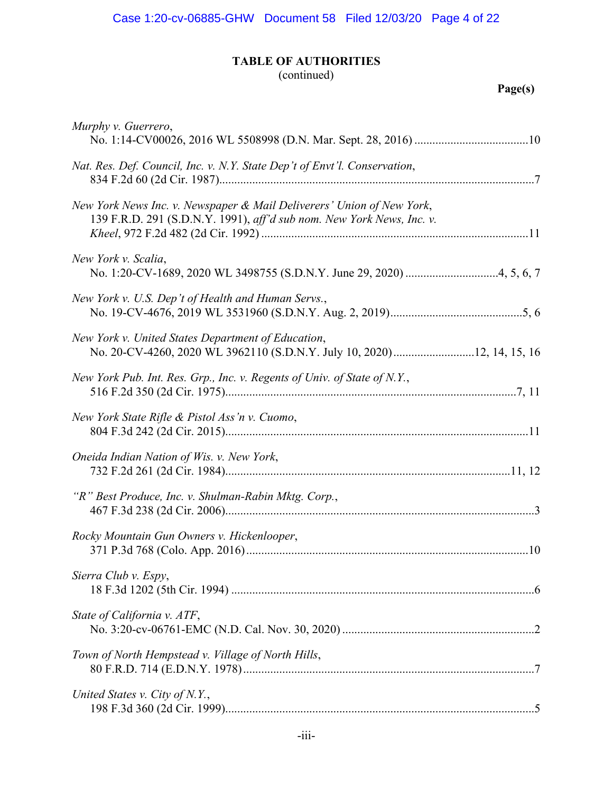# **TABLE OF AUTHORITIES**

# (continued)

| Murphy v. Guerrero,                                                                                                                            |
|------------------------------------------------------------------------------------------------------------------------------------------------|
| Nat. Res. Def. Council, Inc. v. N.Y. State Dep't of Envt'l. Conservation,                                                                      |
| New York News Inc. v. Newspaper & Mail Deliverers' Union of New York,<br>139 F.R.D. 291 (S.D.N.Y. 1991), aff'd sub nom. New York News, Inc. v. |
| New York v. Scalia,                                                                                                                            |
| New York v. U.S. Dep't of Health and Human Servs.,                                                                                             |
| New York v. United States Department of Education,                                                                                             |
| New York Pub. Int. Res. Grp., Inc. v. Regents of Univ. of State of N.Y.,                                                                       |
| New York State Rifle & Pistol Ass'n v. Cuomo,                                                                                                  |
| Oneida Indian Nation of Wis. v. New York,                                                                                                      |
| "R" Best Produce, Inc. v. Shulman-Rabin Mktg. Corp.,                                                                                           |
| Rocky Mountain Gun Owners v. Hickenlooper,                                                                                                     |
| Sierra Club v. Espy,                                                                                                                           |
| State of California v. ATF,                                                                                                                    |
| Town of North Hempstead v. Village of North Hills,                                                                                             |
| United States v. City of N.Y.,                                                                                                                 |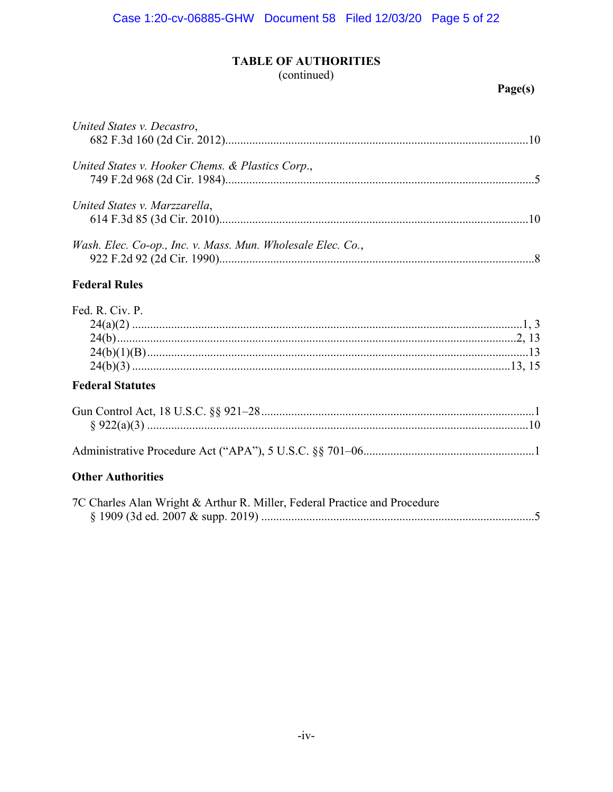# **TABLE OF AUTHORITIES**

# (continued)

## Page(s)

| United States v. Decastro,                                  |  |
|-------------------------------------------------------------|--|
| United States v. Hooker Chems. & Plastics Corp.,            |  |
| United States v. Marzzarella,                               |  |
| Wash. Elec. Co-op., Inc. v. Mass. Mun. Wholesale Elec. Co., |  |
| <b>Federal Rules</b>                                        |  |
| Fed. R. Civ. P.                                             |  |
| <b>Federal Statutes</b>                                     |  |
|                                                             |  |

# 

# **Other Authorities**

| 7C Charles Alan Wright & Arthur R. Miller, Federal Practice and Procedure |  |
|---------------------------------------------------------------------------|--|
|                                                                           |  |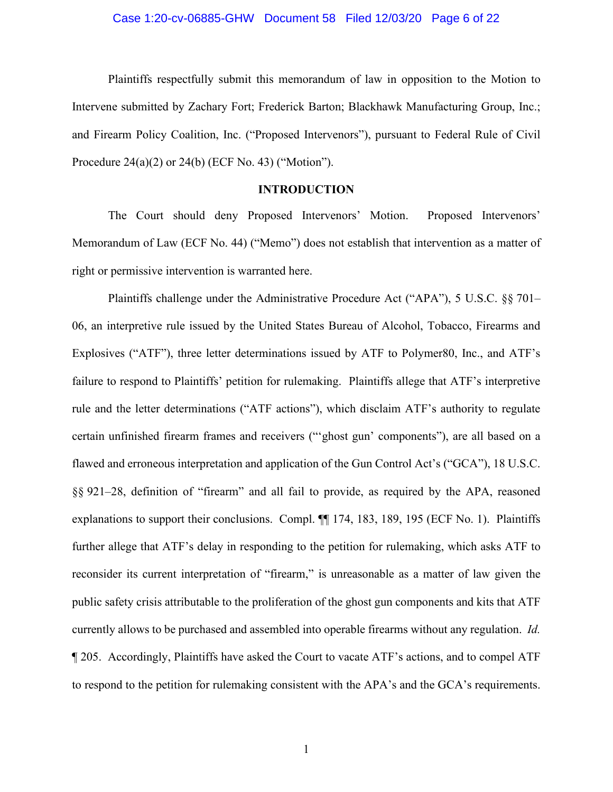### Case 1:20-cv-06885-GHW Document 58 Filed 12/03/20 Page 6 of 22

Plaintiffs respectfully submit this memorandum of law in opposition to the Motion to Intervene submitted by Zachary Fort; Frederick Barton; Blackhawk Manufacturing Group, Inc.; and Firearm Policy Coalition, Inc. ("Proposed Intervenors"), pursuant to Federal Rule of Civil Procedure 24(a)(2) or 24(b) (ECF No. 43) ("Motion").

### **INTRODUCTION**

The Court should deny Proposed Intervenors' Motion. Proposed Intervenors' Memorandum of Law (ECF No. 44) ("Memo") does not establish that intervention as a matter of right or permissive intervention is warranted here.

Plaintiffs challenge under the Administrative Procedure Act ("APA"), 5 U.S.C. §§ 701– 06, an interpretive rule issued by the United States Bureau of Alcohol, Tobacco, Firearms and Explosives ("ATF"), three letter determinations issued by ATF to Polymer80, Inc., and ATF's failure to respond to Plaintiffs' petition for rulemaking. Plaintiffs allege that ATF's interpretive rule and the letter determinations ("ATF actions"), which disclaim ATF's authority to regulate certain unfinished firearm frames and receivers ("'ghost gun' components"), are all based on a flawed and erroneous interpretation and application of the Gun Control Act's ("GCA"), 18 U.S.C. §§ 921–28, definition of "firearm" and all fail to provide, as required by the APA, reasoned explanations to support their conclusions. Compl. ¶¶ 174, 183, 189, 195 (ECF No. 1). Plaintiffs further allege that ATF's delay in responding to the petition for rulemaking, which asks ATF to reconsider its current interpretation of "firearm," is unreasonable as a matter of law given the public safety crisis attributable to the proliferation of the ghost gun components and kits that ATF currently allows to be purchased and assembled into operable firearms without any regulation. *Id.* ¶ 205. Accordingly, Plaintiffs have asked the Court to vacate ATF's actions, and to compel ATF to respond to the petition for rulemaking consistent with the APA's and the GCA's requirements.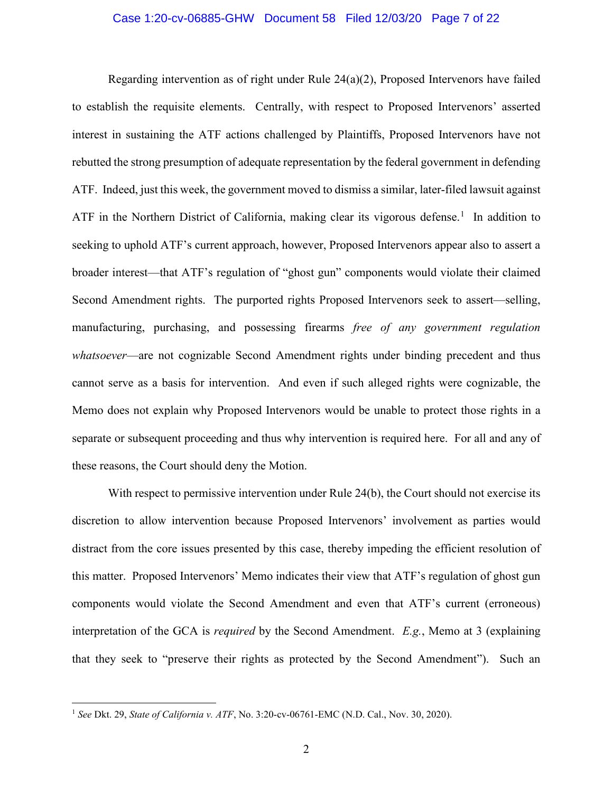### Case 1:20-cv-06885-GHW Document 58 Filed 12/03/20 Page 7 of 22

Regarding intervention as of right under Rule  $24(a)(2)$ , Proposed Intervenors have failed to establish the requisite elements. Centrally, with respect to Proposed Intervenors' asserted interest in sustaining the ATF actions challenged by Plaintiffs, Proposed Intervenors have not rebutted the strong presumption of adequate representation by the federal government in defending ATF. Indeed, just this week, the government moved to dismiss a similar, later-filed lawsuit against ATF in the Northern District of California, making clear its vigorous defense.<sup>1</sup> In addition to seeking to uphold ATF's current approach, however, Proposed Intervenors appear also to assert a broader interest—that ATF's regulation of "ghost gun" components would violate their claimed Second Amendment rights. The purported rights Proposed Intervenors seek to assert—selling, manufacturing, purchasing, and possessing firearms *free of any government regulation whatsoever*—are not cognizable Second Amendment rights under binding precedent and thus cannot serve as a basis for intervention. And even if such alleged rights were cognizable, the Memo does not explain why Proposed Intervenors would be unable to protect those rights in a separate or subsequent proceeding and thus why intervention is required here. For all and any of these reasons, the Court should deny the Motion.

With respect to permissive intervention under Rule 24(b), the Court should not exercise its discretion to allow intervention because Proposed Intervenors' involvement as parties would distract from the core issues presented by this case, thereby impeding the efficient resolution of this matter. Proposed Intervenors' Memo indicates their view that ATF's regulation of ghost gun components would violate the Second Amendment and even that ATF's current (erroneous) interpretation of the GCA is *required* by the Second Amendment. *E.g.*, Memo at 3 (explaining that they seek to "preserve their rights as protected by the Second Amendment"). Such an

<sup>1</sup> *See* Dkt. 29, *State of California v. ATF*, No. 3:20-cv-06761-EMC (N.D. Cal., Nov. 30, 2020).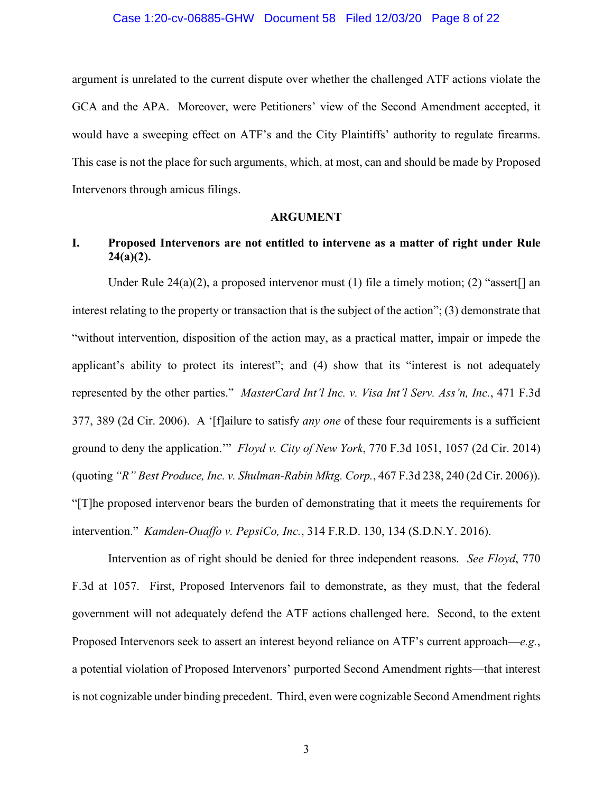#### Case 1:20-cv-06885-GHW Document 58 Filed 12/03/20 Page 8 of 22

argument is unrelated to the current dispute over whether the challenged ATF actions violate the GCA and the APA. Moreover, were Petitioners' view of the Second Amendment accepted, it would have a sweeping effect on ATF's and the City Plaintiffs' authority to regulate firearms. This case is not the place for such arguments, which, at most, can and should be made by Proposed Intervenors through amicus filings.

### **ARGUMENT**

## **I. Proposed Intervenors are not entitled to intervene as a matter of right under Rule 24(a)(2).**

Under Rule 24(a)(2), a proposed intervenor must (1) file a timely motion; (2) "assert[] an interest relating to the property or transaction that is the subject of the action"; (3) demonstrate that "without intervention, disposition of the action may, as a practical matter, impair or impede the applicant's ability to protect its interest"; and (4) show that its "interest is not adequately represented by the other parties." *MasterCard Int'l Inc. v. Visa Int'l Serv. Ass'n, Inc.*, 471 F.3d 377, 389 (2d Cir. 2006). A '[f]ailure to satisfy *any one* of these four requirements is a sufficient ground to deny the application.'" *Floyd v. City of New York*, 770 F.3d 1051, 1057 (2d Cir. 2014) (quoting *"R" Best Produce, Inc. v. Shulman-Rabin Mktg. Corp.*, 467 F.3d 238, 240 (2d Cir. 2006)). "[T]he proposed intervenor bears the burden of demonstrating that it meets the requirements for intervention." *Kamden-Ouaffo v. PepsiCo, Inc.*, 314 F.R.D. 130, 134 (S.D.N.Y. 2016).

Intervention as of right should be denied for three independent reasons. *See Floyd*, 770 F.3d at 1057. First, Proposed Intervenors fail to demonstrate, as they must, that the federal government will not adequately defend the ATF actions challenged here. Second, to the extent Proposed Intervenors seek to assert an interest beyond reliance on ATF's current approach—*e.g.*, a potential violation of Proposed Intervenors' purported Second Amendment rights—that interest is not cognizable under binding precedent. Third, even were cognizable Second Amendment rights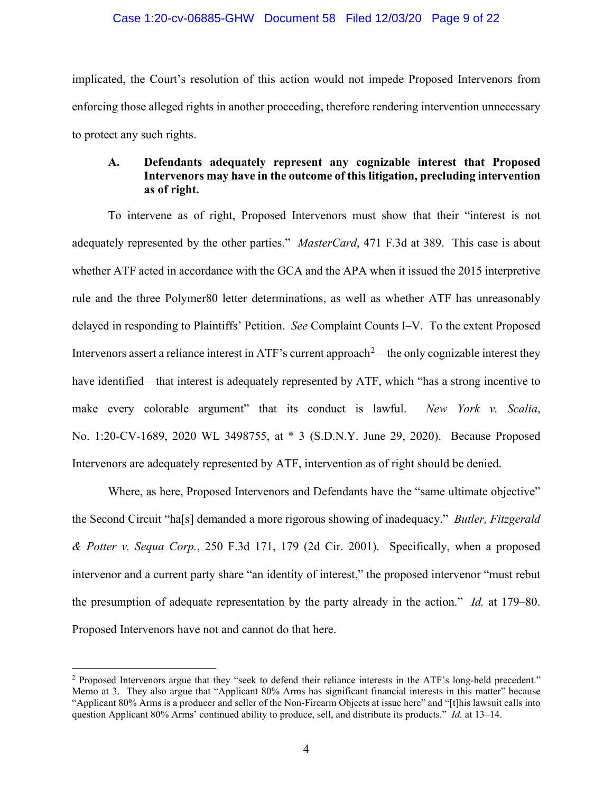### Case 1:20-cv-06885-GHW Document 58 Filed 12/03/20 Page 9 of 22

implicated, the Court's resolution of this action would not impede Proposed Intervenors from enforcing those alleged rights in another proceeding, therefore rendering intervention unnecessary to protect any such rights.

### **A. Defendants adequately represent any cognizable interest that Proposed Intervenors may have in the outcome of this litigation, precluding intervention as of right.**

To intervene as of right, Proposed Intervenors must show that their "interest is not adequately represented by the other parties." *MasterCard*, 471 F.3d at 389. This case is about whether ATF acted in accordance with the GCA and the APA when it issued the 2015 interpretive rule and the three Polymer80 letter determinations, as well as whether ATF has unreasonably delayed in responding to Plaintiffs' Petition. *See* Complaint Counts I–V. To the extent Proposed Intervenors assert a reliance interest in ATF's current approach<sup>2</sup>—the only cognizable interest they have identified—that interest is adequately represented by ATF, which "has a strong incentive to make every colorable argument" that its conduct is lawful. *New York v. Scalia*, No. 1:20-CV-1689, 2020 WL 3498755, at \* 3 (S.D.N.Y. June 29, 2020). Because Proposed Intervenors are adequately represented by ATF, intervention as of right should be denied.

Where, as here, Proposed Intervenors and Defendants have the "same ultimate objective" the Second Circuit "ha[s] demanded a more rigorous showing of inadequacy." *Butler, Fitzgerald & Potter v. Sequa Corp.*, 250 F.3d 171, 179 (2d Cir. 2001). Specifically, when a proposed intervenor and a current party share "an identity of interest," the proposed intervenor "must rebut the presumption of adequate representation by the party already in the action." *Id.* at 179–80. Proposed Intervenors have not and cannot do that here.

<sup>2</sup> Proposed Intervenors argue that they "seek to defend their reliance interests in the ATF's long-held precedent." Memo at 3. They also argue that "Applicant 80% Arms has significant financial interests in this matter" because "Applicant 80% Arms is a producer and seller of the Non-Firearm Objects at issue here" and "[t]his lawsuit calls into question Applicant 80% Arms' continued ability to produce, sell, and distribute its products." *Id.* at 13–14.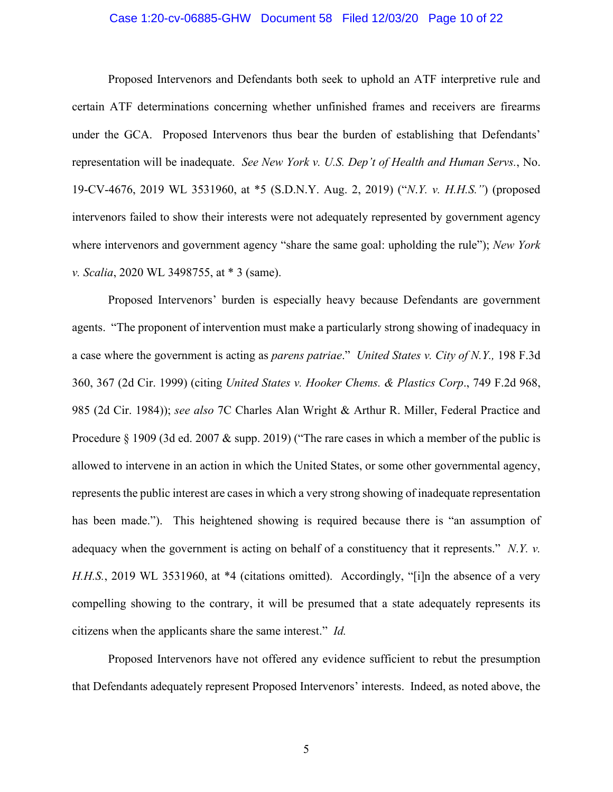### Case 1:20-cv-06885-GHW Document 58 Filed 12/03/20 Page 10 of 22

Proposed Intervenors and Defendants both seek to uphold an ATF interpretive rule and certain ATF determinations concerning whether unfinished frames and receivers are firearms under the GCA. Proposed Intervenors thus bear the burden of establishing that Defendants' representation will be inadequate. *See New York v. U.S. Dep't of Health and Human Servs.*, No. 19-CV-4676, 2019 WL 3531960, at \*5 (S.D.N.Y. Aug. 2, 2019) ("*N*.*Y. v. H.H.S."*) (proposed intervenors failed to show their interests were not adequately represented by government agency where intervenors and government agency "share the same goal: upholding the rule"); *New York v. Scalia*, 2020 WL 3498755, at \* 3 (same).

Proposed Intervenors' burden is especially heavy because Defendants are government agents. "The proponent of intervention must make a particularly strong showing of inadequacy in a case where the government is acting as *parens patriae*." *United States v. City of N.Y.,* 198 F.3d 360, 367 (2d Cir. 1999) (citing *United States v. Hooker Chems. & Plastics Corp*., 749 F.2d 968, 985 (2d Cir. 1984)); *see also* 7C Charles Alan Wright & Arthur R. Miller, Federal Practice and Procedure § 1909 (3d ed. 2007 & supp. 2019) ("The rare cases in which a member of the public is allowed to intervene in an action in which the United States, or some other governmental agency, represents the public interest are cases in which a very strong showing of inadequate representation has been made."). This heightened showing is required because there is "an assumption of adequacy when the government is acting on behalf of a constituency that it represents." *N*.*Y. v. H.H.S.*, 2019 WL 3531960, at \*4 (citations omitted). Accordingly, "[i]n the absence of a very compelling showing to the contrary, it will be presumed that a state adequately represents its citizens when the applicants share the same interest." *Id.*

Proposed Intervenors have not offered any evidence sufficient to rebut the presumption that Defendants adequately represent Proposed Intervenors' interests. Indeed, as noted above, the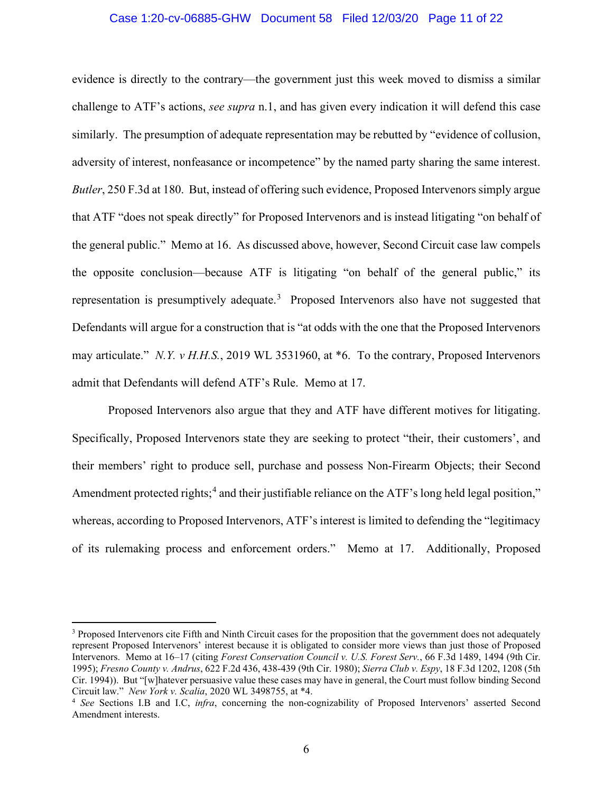### Case 1:20-cv-06885-GHW Document 58 Filed 12/03/20 Page 11 of 22

evidence is directly to the contrary—the government just this week moved to dismiss a similar challenge to ATF's actions, *see supra* n.1, and has given every indication it will defend this case similarly. The presumption of adequate representation may be rebutted by "evidence of collusion, adversity of interest, nonfeasance or incompetence" by the named party sharing the same interest. *Butler*, 250 F.3d at 180. But, instead of offering such evidence, Proposed Intervenors simply argue that ATF "does not speak directly" for Proposed Intervenors and is instead litigating "on behalf of the general public." Memo at 16. As discussed above, however, Second Circuit case law compels the opposite conclusion—because ATF is litigating "on behalf of the general public," its representation is presumptively adequate.<sup>3</sup> Proposed Intervenors also have not suggested that Defendants will argue for a construction that is "at odds with the one that the Proposed Intervenors may articulate." *N.Y. v H.H.S.*, 2019 WL 3531960, at \*6. To the contrary, Proposed Intervenors admit that Defendants will defend ATF's Rule. Memo at 17.

Proposed Intervenors also argue that they and ATF have different motives for litigating. Specifically, Proposed Intervenors state they are seeking to protect "their, their customers', and their members' right to produce sell, purchase and possess Non-Firearm Objects; their Second Amendment protected rights;<sup>4</sup> and their justifiable reliance on the ATF's long held legal position," whereas, according to Proposed Intervenors, ATF's interest is limited to defending the "legitimacy of its rulemaking process and enforcement orders." Memo at 17. Additionally, Proposed

<sup>&</sup>lt;sup>3</sup> Proposed Intervenors cite Fifth and Ninth Circuit cases for the proposition that the government does not adequately represent Proposed Intervenors' interest because it is obligated to consider more views than just those of Proposed Intervenors. Memo at 16–17 (citing *Forest Conservation Council v. U.S. Forest Serv.*, 66 F.3d 1489, 1494 (9th Cir. 1995); *Fresno County v. Andrus*, 622 F.2d 436, 438-439 (9th Cir. 1980); *Sierra Club v. Espy*, 18 F.3d 1202, 1208 (5th Cir. 1994)). But "[w]hatever persuasive value these cases may have in general, the Court must follow binding Second Circuit law." New York v. Scalia, 2020 WL 3498755, at \*4.

<sup>&</sup>lt;sup>4</sup> See Sections I.B and I.C, *infra*, concerning the non-cognizability of Proposed Intervenors' asserted Second Amendment interests.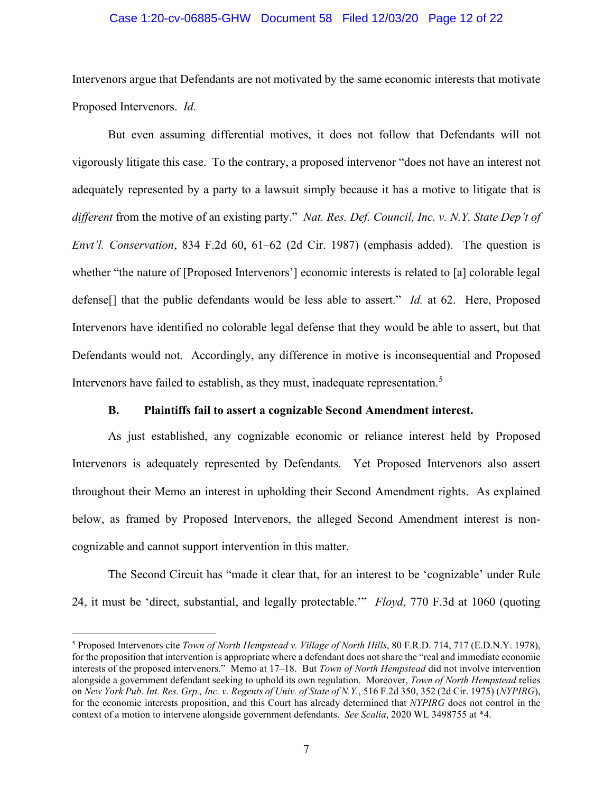### Case 1:20-cv-06885-GHW Document 58 Filed 12/03/20 Page 12 of 22

Intervenors argue that Defendants are not motivated by the same economic interests that motivate Proposed Intervenors. *Id.*

But even assuming differential motives, it does not follow that Defendants will not vigorously litigate this case. To the contrary, a proposed intervenor "does not have an interest not adequately represented by a party to a lawsuit simply because it has a motive to litigate that is *different* from the motive of an existing party." *Nat. Res. Def. Council, Inc. v. N.Y. State Dep't of Envt'l. Conservation*, 834 F.2d 60, 61–62 (2d Cir. 1987) (emphasis added). The question is whether "the nature of [Proposed Intervenors'] economic interests is related to [a] colorable legal defense[] that the public defendants would be less able to assert." *Id.* at 62. Here, Proposed Intervenors have identified no colorable legal defense that they would be able to assert, but that Defendants would not. Accordingly, any difference in motive is inconsequential and Proposed Intervenors have failed to establish, as they must, inadequate representation.<sup>5</sup>

### **B. Plaintiffs fail to assert a cognizable Second Amendment interest.**

As just established, any cognizable economic or reliance interest held by Proposed Intervenors is adequately represented by Defendants. Yet Proposed Intervenors also assert throughout their Memo an interest in upholding their Second Amendment rights. As explained below, as framed by Proposed Intervenors, the alleged Second Amendment interest is noncognizable and cannot support intervention in this matter.

The Second Circuit has "made it clear that, for an interest to be 'cognizable' under Rule 24, it must be 'direct, substantial, and legally protectable.'" *Floyd*, 770 F.3d at 1060 (quoting

<sup>5</sup> Proposed Intervenors cite *Town of North Hempstead v. Village of North Hills*, 80 F.R.D. 714, 717 (E.D.N.Y. 1978), for the proposition that intervention is appropriate where a defendant does not share the "real and immediate economic interests of the proposed intervenors." Memo at 17–18. But *Town of North Hempstead* did not involve intervention alongside a government defendant seeking to uphold its own regulation. Moreover, *Town of North Hempstead* relies on *New York Pub. Int. Res. Grp., Inc. v. Regents of Univ. of State of N.Y.*, 516 F.2d 350, 352 (2d Cir. 1975) (*NYPIRG*), for the economic interests proposition, and this Court has already determined that *NYPIRG* does not control in the context of a motion to intervene alongside government defendants. *See Scalia*, 2020 WL 3498755 at \*4.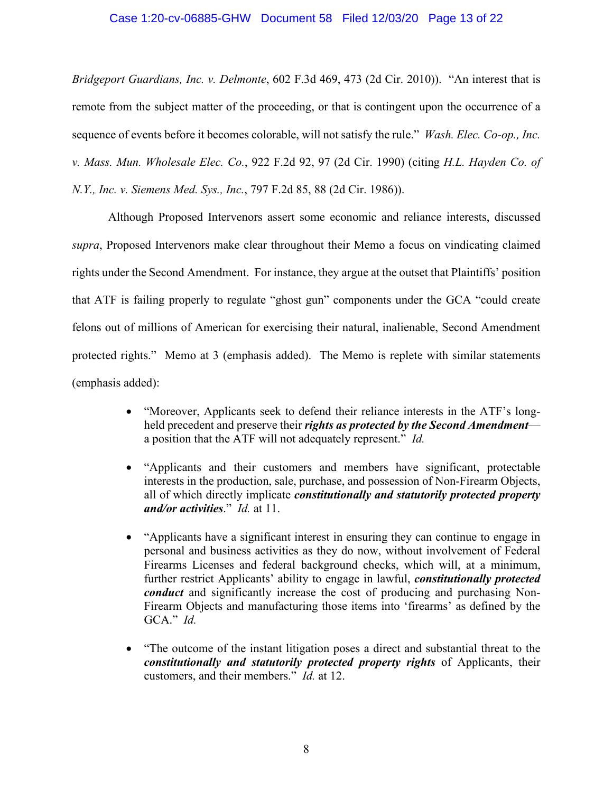### Case 1:20-cv-06885-GHW Document 58 Filed 12/03/20 Page 13 of 22

*Bridgeport Guardians, Inc. v. Delmonte*, 602 F.3d 469, 473 (2d Cir. 2010)). "An interest that is remote from the subject matter of the proceeding, or that is contingent upon the occurrence of a sequence of events before it becomes colorable, will not satisfy the rule." *Wash. Elec. Co-op., Inc. v. Mass. Mun. Wholesale Elec. Co.*, 922 F.2d 92, 97 (2d Cir. 1990) (citing *H.L. Hayden Co. of N.Y., Inc. v. Siemens Med. Sys., Inc.*, 797 F.2d 85, 88 (2d Cir. 1986)).

Although Proposed Intervenors assert some economic and reliance interests, discussed *supra*, Proposed Intervenors make clear throughout their Memo a focus on vindicating claimed rights under the Second Amendment. For instance, they argue at the outset that Plaintiffs' position that ATF is failing properly to regulate "ghost gun" components under the GCA "could create felons out of millions of American for exercising their natural, inalienable, Second Amendment protected rights." Memo at 3 (emphasis added). The Memo is replete with similar statements (emphasis added):

- "Moreover, Applicants seek to defend their reliance interests in the ATF's longheld precedent and preserve their *rights as protected by the Second Amendment* a position that the ATF will not adequately represent." *Id.*
- "Applicants and their customers and members have significant, protectable interests in the production, sale, purchase, and possession of Non-Firearm Objects, all of which directly implicate *constitutionally and statutorily protected property and/or activities*." *Id.* at 11.
- "Applicants have a significant interest in ensuring they can continue to engage in personal and business activities as they do now, without involvement of Federal Firearms Licenses and federal background checks, which will, at a minimum, further restrict Applicants' ability to engage in lawful, *constitutionally protected conduct* and significantly increase the cost of producing and purchasing Non-Firearm Objects and manufacturing those items into 'firearms' as defined by the GCA." *Id.*
- "The outcome of the instant litigation poses a direct and substantial threat to the *constitutionally and statutorily protected property rights* of Applicants, their customers, and their members." *Id.* at 12.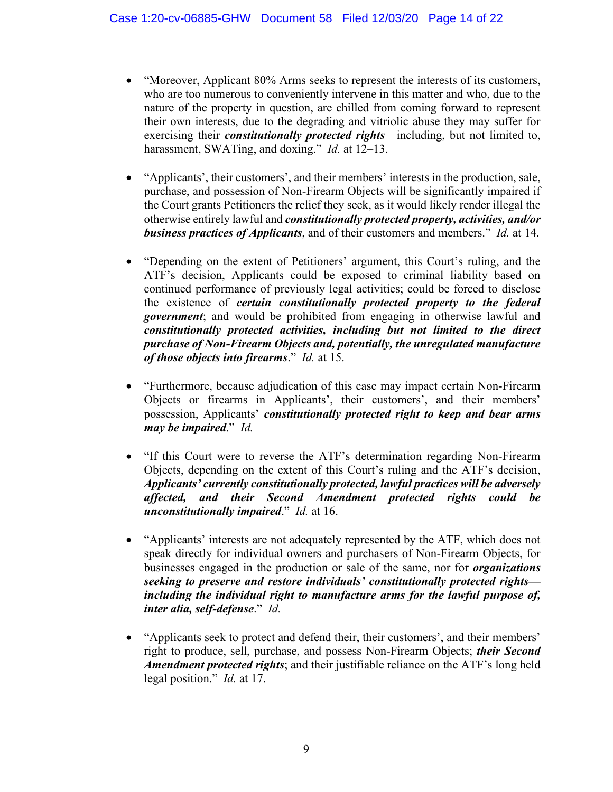- "Moreover, Applicant 80% Arms seeks to represent the interests of its customers, who are too numerous to conveniently intervene in this matter and who, due to the nature of the property in question, are chilled from coming forward to represent their own interests, due to the degrading and vitriolic abuse they may suffer for exercising their *constitutionally protected rights*—including, but not limited to, harassment, SWATing, and doxing." *Id.* at 12–13.
- "Applicants', their customers', and their members' interests in the production, sale, purchase, and possession of Non-Firearm Objects will be significantly impaired if the Court grants Petitioners the relief they seek, as it would likely render illegal the otherwise entirely lawful and *constitutionally protected property, activities, and/or business practices of Applicants*, and of their customers and members." *Id.* at 14.
- "Depending on the extent of Petitioners' argument, this Court's ruling, and the ATF's decision, Applicants could be exposed to criminal liability based on continued performance of previously legal activities; could be forced to disclose the existence of *certain constitutionally protected property to the federal government*; and would be prohibited from engaging in otherwise lawful and *constitutionally protected activities, including but not limited to the direct purchase of Non-Firearm Objects and, potentially, the unregulated manufacture of those objects into firearms*." *Id.* at 15.
- "Furthermore, because adjudication of this case may impact certain Non-Firearm Objects or firearms in Applicants', their customers', and their members' possession, Applicants' *constitutionally protected right to keep and bear arms may be impaired*." *Id.*
- "If this Court were to reverse the ATF's determination regarding Non-Firearm Objects, depending on the extent of this Court's ruling and the ATF's decision, *Applicants' currently constitutionally protected, lawful practices will be adversely affected, and their Second Amendment protected rights could be unconstitutionally impaired*." *Id.* at 16.
- "Applicants' interests are not adequately represented by the ATF, which does not speak directly for individual owners and purchasers of Non-Firearm Objects, for businesses engaged in the production or sale of the same, nor for *organizations seeking to preserve and restore individuals' constitutionally protected rights including the individual right to manufacture arms for the lawful purpose of, inter alia, self-defense*." *Id.*
- "Applicants seek to protect and defend their, their customers', and their members' right to produce, sell, purchase, and possess Non-Firearm Objects; *their Second Amendment protected rights*; and their justifiable reliance on the ATF's long held legal position." *Id.* at 17.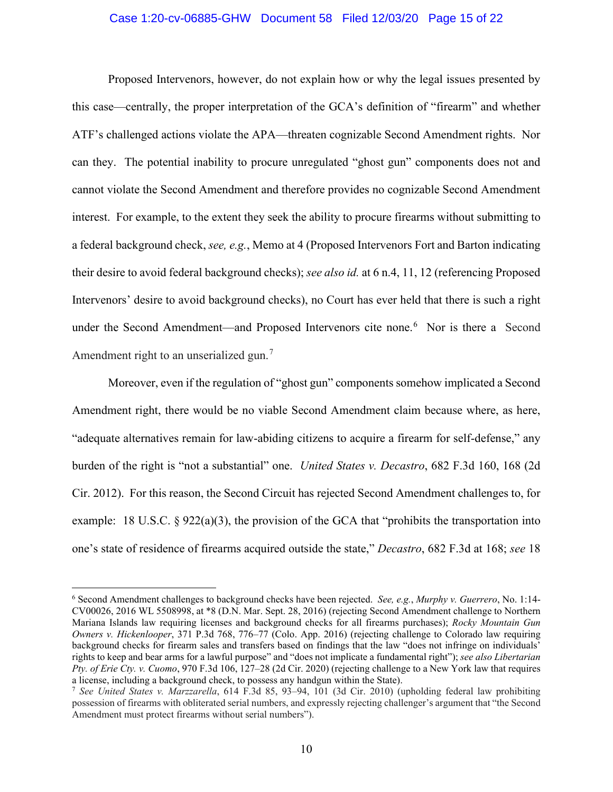### Case 1:20-cv-06885-GHW Document 58 Filed 12/03/20 Page 15 of 22

Proposed Intervenors, however, do not explain how or why the legal issues presented by this case—centrally, the proper interpretation of the GCA's definition of "firearm" and whether ATF's challenged actions violate the APA—threaten cognizable Second Amendment rights. Nor can they. The potential inability to procure unregulated "ghost gun" components does not and cannot violate the Second Amendment and therefore provides no cognizable Second Amendment interest. For example, to the extent they seek the ability to procure firearms without submitting to a federal background check, *see, e.g.*, Memo at 4 (Proposed Intervenors Fort and Barton indicating their desire to avoid federal background checks); *see also id.* at 6 n.4, 11, 12 (referencing Proposed Intervenors' desire to avoid background checks), no Court has ever held that there is such a right under the Second Amendment—and Proposed Intervenors cite none.<sup>6</sup> Nor is there a Second Amendment right to an unserialized gun.<sup>7</sup>

Moreover, even if the regulation of "ghost gun" components somehow implicated a Second Amendment right, there would be no viable Second Amendment claim because where, as here, "adequate alternatives remain for law-abiding citizens to acquire a firearm for self-defense," any burden of the right is "not a substantial" one. *United States v. Decastro*, 682 F.3d 160, 168 (2d Cir. 2012). For this reason, the Second Circuit has rejected Second Amendment challenges to, for example: 18 U.S.C. § 922(a)(3), the provision of the GCA that "prohibits the transportation into one's state of residence of firearms acquired outside the state," *Decastro*, 682 F.3d at 168; *see* 18

<sup>6</sup> Second Amendment challenges to background checks have been rejected. *See, e.g.*, *Murphy v. Guerrero*, No. 1:14- CV00026, 2016 WL 5508998, at \*8 (D.N. Mar. Sept. 28, 2016) (rejecting Second Amendment challenge to Northern Mariana Islands law requiring licenses and background checks for all firearms purchases); *Rocky Mountain Gun Owners v. Hickenlooper*, 371 P.3d 768, 776–77 (Colo. App. 2016) (rejecting challenge to Colorado law requiring background checks for firearm sales and transfers based on findings that the law "does not infringe on individuals' rights to keep and bear arms for a lawful purpose" and "does not implicate a fundamental right"); *see also Libertarian Pty. of Erie Cty. v. Cuomo*, 970 F.3d 106, 127–28 (2d Cir. 2020) (rejecting challenge to a New York law that requires a license, including a background check, to possess any handgun within the State).

<sup>7</sup> *See United States v. Marzzarella*, 614 F.3d 85, 93–94, 101 (3d Cir. 2010) (upholding federal law prohibiting possession of firearms with obliterated serial numbers, and expressly rejecting challenger's argument that "the Second Amendment must protect firearms without serial numbers").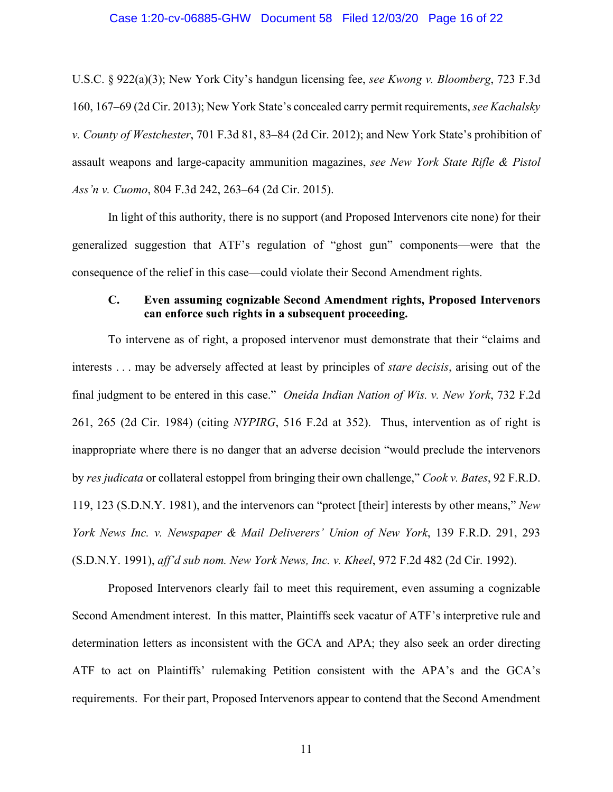#### Case 1:20-cv-06885-GHW Document 58 Filed 12/03/20 Page 16 of 22

U.S.C. § 922(a)(3); New York City's handgun licensing fee, *see Kwong v. Bloomberg*, 723 F.3d 160, 167–69 (2d Cir. 2013); New York State's concealed carry permit requirements, *see Kachalsky v. County of Westchester*, 701 F.3d 81, 83–84 (2d Cir. 2012); and New York State's prohibition of assault weapons and large-capacity ammunition magazines, *see New York State Rifle & Pistol Ass'n v. Cuomo*, 804 F.3d 242, 263–64 (2d Cir. 2015).

In light of this authority, there is no support (and Proposed Intervenors cite none) for their generalized suggestion that ATF's regulation of "ghost gun" components—were that the consequence of the relief in this case—could violate their Second Amendment rights.

### **C. Even assuming cognizable Second Amendment rights, Proposed Intervenors can enforce such rights in a subsequent proceeding.**

To intervene as of right, a proposed intervenor must demonstrate that their "claims and interests . . . may be adversely affected at least by principles of *stare decisis*, arising out of the final judgment to be entered in this case." *Oneida Indian Nation of Wis. v. New York*, 732 F.2d 261, 265 (2d Cir. 1984) (citing *NYPIRG*, 516 F.2d at 352). Thus, intervention as of right is inappropriate where there is no danger that an adverse decision "would preclude the intervenors by *res judicata* or collateral estoppel from bringing their own challenge," *Cook v. Bates*, 92 F.R.D. 119, 123 (S.D.N.Y. 1981), and the intervenors can "protect [their] interests by other means," *New York News Inc. v. Newspaper & Mail Deliverers' Union of New York*, 139 F.R.D. 291, 293 (S.D.N.Y. 1991), *aff'd sub nom. New York News, Inc. v. Kheel*, 972 F.2d 482 (2d Cir. 1992).

Proposed Intervenors clearly fail to meet this requirement, even assuming a cognizable Second Amendment interest. In this matter, Plaintiffs seek vacatur of ATF's interpretive rule and determination letters as inconsistent with the GCA and APA; they also seek an order directing ATF to act on Plaintiffs' rulemaking Petition consistent with the APA's and the GCA's requirements. For their part, Proposed Intervenors appear to contend that the Second Amendment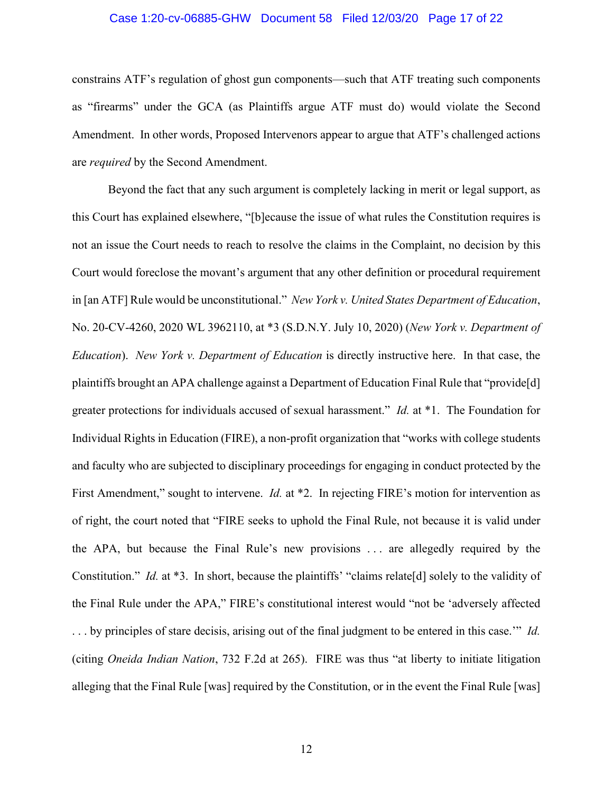### Case 1:20-cv-06885-GHW Document 58 Filed 12/03/20 Page 17 of 22

constrains ATF's regulation of ghost gun components—such that ATF treating such components as "firearms" under the GCA (as Plaintiffs argue ATF must do) would violate the Second Amendment. In other words, Proposed Intervenors appear to argue that ATF's challenged actions are *required* by the Second Amendment.

Beyond the fact that any such argument is completely lacking in merit or legal support, as this Court has explained elsewhere, "[b]ecause the issue of what rules the Constitution requires is not an issue the Court needs to reach to resolve the claims in the Complaint, no decision by this Court would foreclose the movant's argument that any other definition or procedural requirement in [an ATF] Rule would be unconstitutional." *New York v. United States Department of Education*, No. 20-CV-4260, 2020 WL 3962110, at \*3 (S.D.N.Y. July 10, 2020) (*New York v. Department of Education*). *New York v. Department of Education* is directly instructive here. In that case, the plaintiffs brought an APA challenge against a Department of Education Final Rule that "provide[d] greater protections for individuals accused of sexual harassment." *Id.* at \*1. The Foundation for Individual Rights in Education (FIRE), a non-profit organization that "works with college students and faculty who are subjected to disciplinary proceedings for engaging in conduct protected by the First Amendment," sought to intervene. *Id.* at \*2. In rejecting FIRE's motion for intervention as of right, the court noted that "FIRE seeks to uphold the Final Rule, not because it is valid under the APA, but because the Final Rule's new provisions . . . are allegedly required by the Constitution." *Id.* at \*3. In short, because the plaintiffs' "claims relate[d] solely to the validity of the Final Rule under the APA," FIRE's constitutional interest would "not be 'adversely affected . . . by principles of stare decisis, arising out of the final judgment to be entered in this case.'" *Id.* (citing *Oneida Indian Nation*, 732 F.2d at 265). FIRE was thus "at liberty to initiate litigation alleging that the Final Rule [was] required by the Constitution, or in the event the Final Rule [was]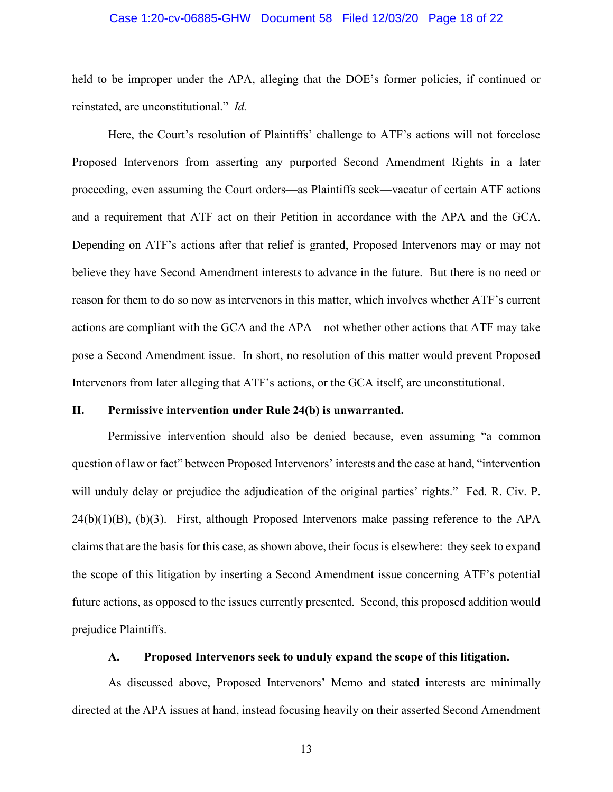### Case 1:20-cv-06885-GHW Document 58 Filed 12/03/20 Page 18 of 22

held to be improper under the APA, alleging that the DOE's former policies, if continued or reinstated, are unconstitutional." *Id.*

Here, the Court's resolution of Plaintiffs' challenge to ATF's actions will not foreclose Proposed Intervenors from asserting any purported Second Amendment Rights in a later proceeding, even assuming the Court orders—as Plaintiffs seek—vacatur of certain ATF actions and a requirement that ATF act on their Petition in accordance with the APA and the GCA. Depending on ATF's actions after that relief is granted, Proposed Intervenors may or may not believe they have Second Amendment interests to advance in the future. But there is no need or reason for them to do so now as intervenors in this matter, which involves whether ATF's current actions are compliant with the GCA and the APA—not whether other actions that ATF may take pose a Second Amendment issue. In short, no resolution of this matter would prevent Proposed Intervenors from later alleging that ATF's actions, or the GCA itself, are unconstitutional.

### **II. Permissive intervention under Rule 24(b) is unwarranted.**

Permissive intervention should also be denied because, even assuming "a common question of law or fact" between Proposed Intervenors' interests and the case at hand, "intervention will unduly delay or prejudice the adjudication of the original parties' rights." Fed. R. Civ. P.  $24(b)(1)(B)$ ,  $(b)(3)$ . First, although Proposed Intervenors make passing reference to the APA claimsthat are the basis for this case, as shown above, their focus is elsewhere: they seek to expand the scope of this litigation by inserting a Second Amendment issue concerning ATF's potential future actions, as opposed to the issues currently presented. Second, this proposed addition would prejudice Plaintiffs.

### **A. Proposed Intervenors seek to unduly expand the scope of this litigation.**

As discussed above, Proposed Intervenors' Memo and stated interests are minimally directed at the APA issues at hand, instead focusing heavily on their asserted Second Amendment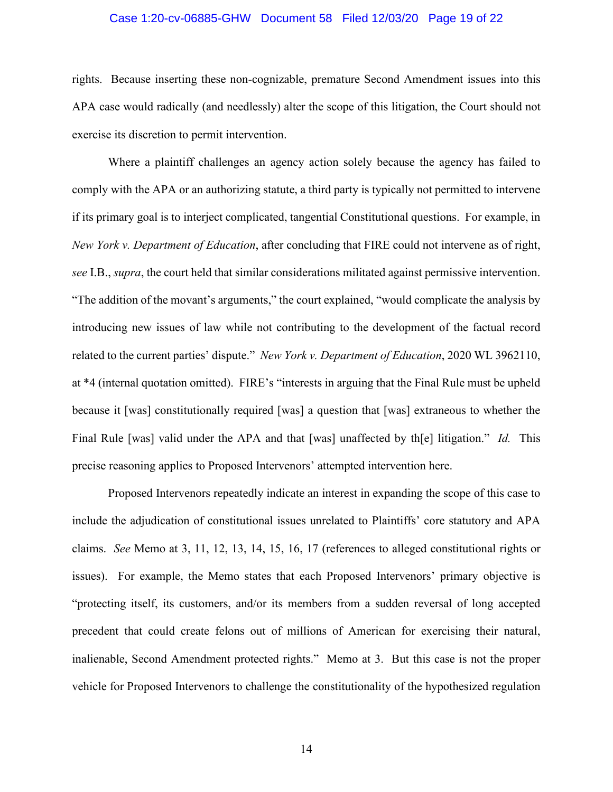### Case 1:20-cv-06885-GHW Document 58 Filed 12/03/20 Page 19 of 22

rights. Because inserting these non-cognizable, premature Second Amendment issues into this APA case would radically (and needlessly) alter the scope of this litigation, the Court should not exercise its discretion to permit intervention.

Where a plaintiff challenges an agency action solely because the agency has failed to comply with the APA or an authorizing statute, a third party is typically not permitted to intervene if its primary goal is to interject complicated, tangential Constitutional questions. For example, in *New York v. Department of Education*, after concluding that FIRE could not intervene as of right, *see* I.B., *supra*, the court held that similar considerations militated against permissive intervention. "The addition of the movant's arguments," the court explained, "would complicate the analysis by introducing new issues of law while not contributing to the development of the factual record related to the current parties' dispute." *New York v. Department of Education*, 2020 WL 3962110, at \*4 (internal quotation omitted). FIRE's "interests in arguing that the Final Rule must be upheld because it [was] constitutionally required [was] a question that [was] extraneous to whether the Final Rule [was] valid under the APA and that [was] unaffected by th[e] litigation." *Id.* This precise reasoning applies to Proposed Intervenors' attempted intervention here.

Proposed Intervenors repeatedly indicate an interest in expanding the scope of this case to include the adjudication of constitutional issues unrelated to Plaintiffs' core statutory and APA claims. *See* Memo at 3, 11, 12, 13, 14, 15, 16, 17 (references to alleged constitutional rights or issues). For example, the Memo states that each Proposed Intervenors' primary objective is "protecting itself, its customers, and/or its members from a sudden reversal of long accepted precedent that could create felons out of millions of American for exercising their natural, inalienable, Second Amendment protected rights." Memo at 3. But this case is not the proper vehicle for Proposed Intervenors to challenge the constitutionality of the hypothesized regulation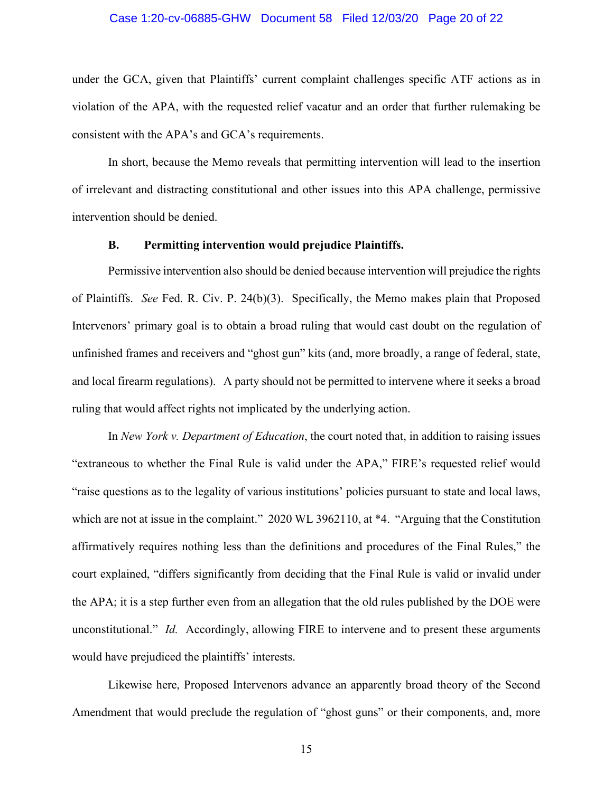### Case 1:20-cv-06885-GHW Document 58 Filed 12/03/20 Page 20 of 22

under the GCA, given that Plaintiffs' current complaint challenges specific ATF actions as in violation of the APA, with the requested relief vacatur and an order that further rulemaking be consistent with the APA's and GCA's requirements.

In short, because the Memo reveals that permitting intervention will lead to the insertion of irrelevant and distracting constitutional and other issues into this APA challenge, permissive intervention should be denied.

### **B. Permitting intervention would prejudice Plaintiffs.**

Permissive intervention also should be denied because intervention will prejudice the rights of Plaintiffs. *See* Fed. R. Civ. P. 24(b)(3). Specifically, the Memo makes plain that Proposed Intervenors' primary goal is to obtain a broad ruling that would cast doubt on the regulation of unfinished frames and receivers and "ghost gun" kits (and, more broadly, a range of federal, state, and local firearm regulations). A party should not be permitted to intervene where it seeks a broad ruling that would affect rights not implicated by the underlying action.

In *New York v. Department of Education*, the court noted that, in addition to raising issues "extraneous to whether the Final Rule is valid under the APA," FIRE's requested relief would "raise questions as to the legality of various institutions' policies pursuant to state and local laws, which are not at issue in the complaint." 2020 WL 3962110, at \*4. "Arguing that the Constitution affirmatively requires nothing less than the definitions and procedures of the Final Rules," the court explained, "differs significantly from deciding that the Final Rule is valid or invalid under the APA; it is a step further even from an allegation that the old rules published by the DOE were unconstitutional." *Id.* Accordingly, allowing FIRE to intervene and to present these arguments would have prejudiced the plaintiffs' interests.

Likewise here, Proposed Intervenors advance an apparently broad theory of the Second Amendment that would preclude the regulation of "ghost guns" or their components, and, more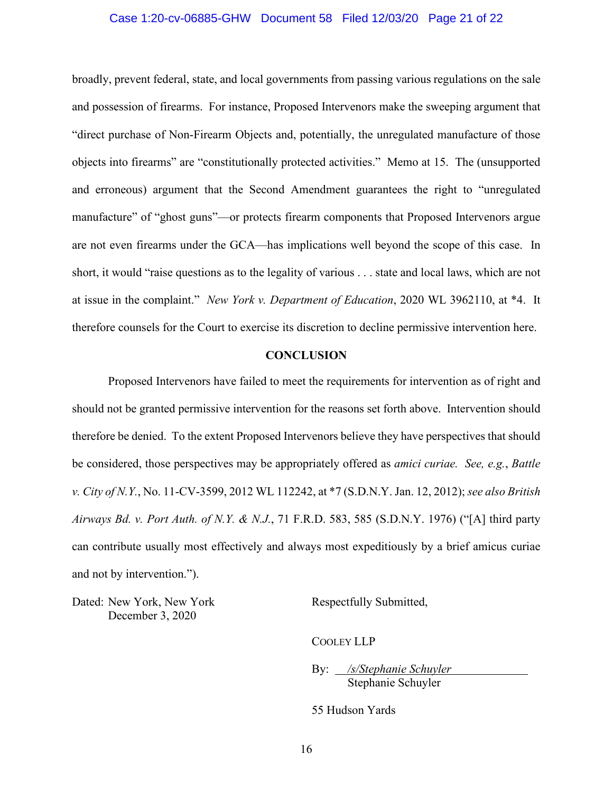### Case 1:20-cv-06885-GHW Document 58 Filed 12/03/20 Page 21 of 22

broadly, prevent federal, state, and local governments from passing various regulations on the sale and possession of firearms. For instance, Proposed Intervenors make the sweeping argument that "direct purchase of Non-Firearm Objects and, potentially, the unregulated manufacture of those objects into firearms" are "constitutionally protected activities." Memo at 15. The (unsupported and erroneous) argument that the Second Amendment guarantees the right to "unregulated manufacture" of "ghost guns"—or protects firearm components that Proposed Intervenors argue are not even firearms under the GCA—has implications well beyond the scope of this case. In short, it would "raise questions as to the legality of various . . . state and local laws, which are not at issue in the complaint." *New York v. Department of Education*, 2020 WL 3962110, at \*4. It therefore counsels for the Court to exercise its discretion to decline permissive intervention here.

### **CONCLUSION**

Proposed Intervenors have failed to meet the requirements for intervention as of right and should not be granted permissive intervention for the reasons set forth above. Intervention should therefore be denied. To the extent Proposed Intervenors believe they have perspectives that should be considered, those perspectives may be appropriately offered as *amici curiae. See, e.g.*, *Battle v. City of N.Y.*, No. 11-CV-3599, 2012 WL 112242, at \*7 (S.D.N.Y. Jan. 12, 2012); *see also British Airways Bd. v. Port Auth. of N.Y. & N.J.*, 71 F.R.D. 583, 585 (S.D.N.Y. 1976) ("[A] third party can contribute usually most effectively and always most expeditiously by a brief amicus curiae and not by intervention.").

Dated: New York, New York December 3, 2020

Respectfully Submitted,

COOLEY LLP

By: */s/Stephanie Schuyler* Stephanie Schuyler

55 Hudson Yards